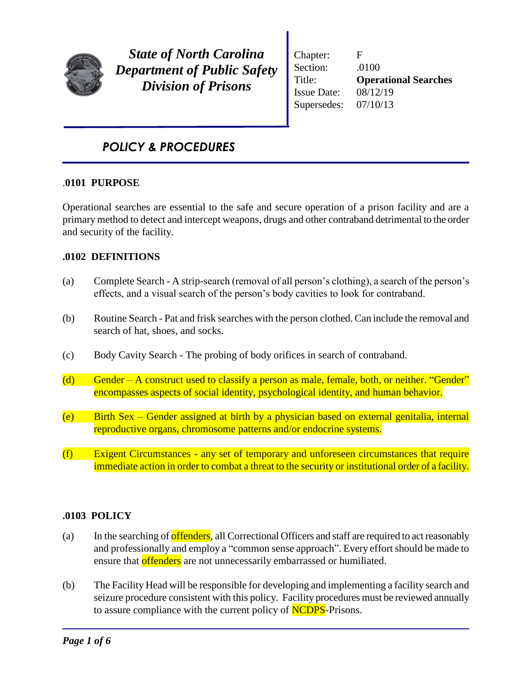

*State of North Carolina Department of Public Safety Division of Prisons*

Chapter: F Section: .0100 Title: **Operational Searches** Issue Date: 08/12/19 Supersedes: 07/10/13

# *POLICY & PROCEDURES*

### .**0101 PURPOSE**

Operational searches are essential to the safe and secure operation of a prison facility and are a primary method to detect and intercept weapons, drugs and other contraband detrimental to the order and security of the facility.

## **.0102 DEFINITIONS**

- (a) Complete Search A strip-search (removal of all person's clothing), a search of the person's effects, and a visual search of the person's body cavities to look for contraband.
- (b) Routine Search Pat and frisk searches with the person clothed. Can include the removal and search of hat, shoes, and socks.
- (c) Body Cavity Search The probing of body orifices in search of contraband.
- (d) Gender A construct used to classify a person as male, female, both, or neither. "Gender" encompasses aspects of social identity, psychological identity, and human behavior.
- (e) Birth Sex Gender assigned at birth by a physician based on external genitalia, internal reproductive organs, chromosome patterns and/or endocrine systems.
- (f) Exigent Circumstances **-** any set of temporary and unforeseen circumstances that require immediate action in order to combat a threat to the security or institutional order of a facility.

### **.0103 POLICY**

- (a) In the searching of offenders, all Correctional Officers and staff are required to act reasonably and professionally and employ a "common sense approach". Every effort should be made to ensure that offenders are not unnecessarily embarrassed or humiliated.
- (b) The Facility Head will be responsible for developing and implementing a facility search and seizure procedure consistent with this policy. Facility procedures must be reviewed annually to assure compliance with the current policy of **NCDPS**-Prisons.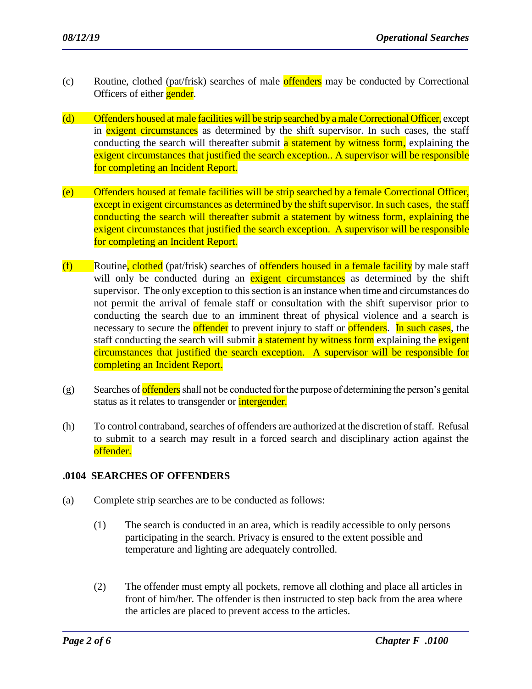- (c) Routine, clothed (pat/frisk) searches of male offenders may be conducted by Correctional Officers of either **gender**.
- (d) Offenders housed at male facilities will be strip searched by a male Correctional Officer, except in exigent circumstances as determined by the shift supervisor. In such cases, the staff conducting the search will thereafter submit a statement by witness form, explaining the exigent circumstances that justified the search exception.. A supervisor will be responsible for completing an Incident Report.
- (e) Offenders housed at female facilities will be strip searched by a female Correctional Officer, except in exigent circumstances as determined by the shift supervisor. In such cases, the staff conducting the search will thereafter submit a statement by witness form, explaining the exigent circumstances that justified the search exception. A supervisor will be responsible for completing an Incident Report.
- $(f)$  Routine, clothed (pat/frisk) searches of offenders housed in a female facility by male staff will only be conducted during an exigent circumstances as determined by the shift supervisor. The only exception to this section is an instance when time and circumstances do not permit the arrival of female staff or consultation with the shift supervisor prior to conducting the search due to an imminent threat of physical violence and a search is necessary to secure the **offender** to prevent injury to staff or **offenders**. In such cases, the staff conducting the search will submit a statement by witness form explaining the exigent circumstances that justified the search exception. A supervisor will be responsible for completing an Incident Report.
- $(g)$  Searches of offenders shall not be conducted for the purpose of determining the person's genital status as it relates to transgender or *intergender*.
- (h) To control contraband, searches of offenders are authorized at the discretion of staff. Refusal to submit to a search may result in a forced search and disciplinary action against the offender.

### **.0104 SEARCHES OF OFFENDERS**

- (a) Complete strip searches are to be conducted as follows:
	- (1) The search is conducted in an area, which is readily accessible to only persons participating in the search. Privacy is ensured to the extent possible and temperature and lighting are adequately controlled.
	- (2) The offender must empty all pockets, remove all clothing and place all articles in front of him/her. The offender is then instructed to step back from the area where the articles are placed to prevent access to the articles.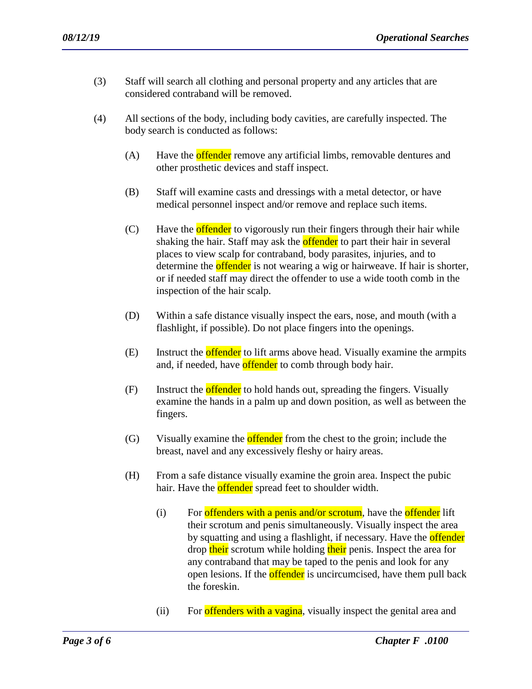- (3) Staff will search all clothing and personal property and any articles that are considered contraband will be removed.
- (4) All sections of the body, including body cavities, are carefully inspected. The body search is conducted as follows:
	- (A) Have the **offender** remove any artificial limbs, removable dentures and other prosthetic devices and staff inspect.
	- (B) Staff will examine casts and dressings with a metal detector, or have medical personnel inspect and/or remove and replace such items.
	- (C) Have the **offender** to vigorously run their fingers through their hair while shaking the hair. Staff may ask the **offender** to part their hair in several places to view scalp for contraband, body parasites, injuries, and to determine the **offender** is not wearing a wig or hairweave. If hair is shorter, or if needed staff may direct the offender to use a wide tooth comb in the inspection of the hair scalp.
	- (D) Within a safe distance visually inspect the ears, nose, and mouth (with a flashlight, if possible). Do not place fingers into the openings.
	- (E) Instruct the **offender** to lift arms above head. Visually examine the armpits and, if needed, have **offender** to comb through body hair.
	- (F) Instruct the **offender** to hold hands out, spreading the fingers. Visually examine the hands in a palm up and down position, as well as between the fingers.
	- (G) Visually examine the **offender** from the chest to the groin; include the breast, navel and any excessively fleshy or hairy areas.
	- (H) From a safe distance visually examine the groin area. Inspect the pubic hair. Have the **offender** spread feet to shoulder width.
		- (i) For offenders with a penis and/or scrotum, have the offender lift their scrotum and penis simultaneously. Visually inspect the area by squatting and using a flashlight, if necessary. Have the **offender** drop their scrotum while holding their penis. Inspect the area for any contraband that may be taped to the penis and look for any open lesions. If the **offender** is uncircumcised, have them pull back the foreskin.
		- (ii) For offenders with a vagina, visually inspect the genital area and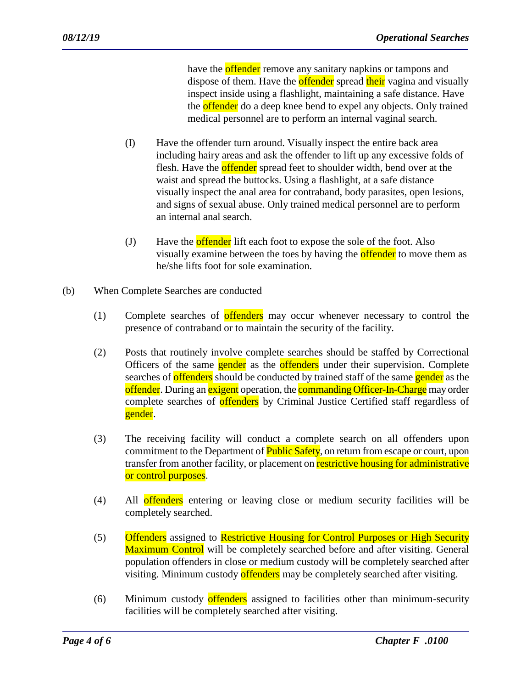have the **offender** remove any sanitary napkins or tampons and dispose of them. Have the **offender** spread their vagina and visually inspect inside using a flashlight, maintaining a safe distance. Have the **offender** do a deep knee bend to expel any objects. Only trained medical personnel are to perform an internal vaginal search.

- (I) Have the offender turn around. Visually inspect the entire back area including hairy areas and ask the offender to lift up any excessive folds of flesh. Have the **offender** spread feet to shoulder width, bend over at the waist and spread the buttocks. Using a flashlight, at a safe distance visually inspect the anal area for contraband, body parasites, open lesions, and signs of sexual abuse. Only trained medical personnel are to perform an internal anal search.
- (J) Have the **offender** lift each foot to expose the sole of the foot. Also visually examine between the toes by having the **offender** to move them as he/she lifts foot for sole examination.
- (b) When Complete Searches are conducted
	- (1) Complete searches of offenders may occur whenever necessary to control the presence of contraband or to maintain the security of the facility.
	- (2) Posts that routinely involve complete searches should be staffed by Correctional Officers of the same **gender** as the **offenders** under their supervision. Complete searches of **offenders** should be conducted by trained staff of the same **gender** as the offender. During an exigent operation, the **commanding Officer-In-Charge** may order complete searches of offenders by Criminal Justice Certified staff regardless of gender.
	- (3) The receiving facility will conduct a complete search on all offenders upon commitment to the Department of Public Safety, on return from escape or court, upon transfer from another facility, or placement on **restrictive housing for administrative** or control purposes.
	- (4) All offenders entering or leaving close or medium security facilities will be completely searched.
	- (5) Offenders assigned to Restrictive Housing for Control Purposes or High Security Maximum Control will be completely searched before and after visiting. General population offenders in close or medium custody will be completely searched after visiting. Minimum custody offenders may be completely searched after visiting.
	- (6) Minimum custody offenders assigned to facilities other than minimum-security facilities will be completely searched after visiting.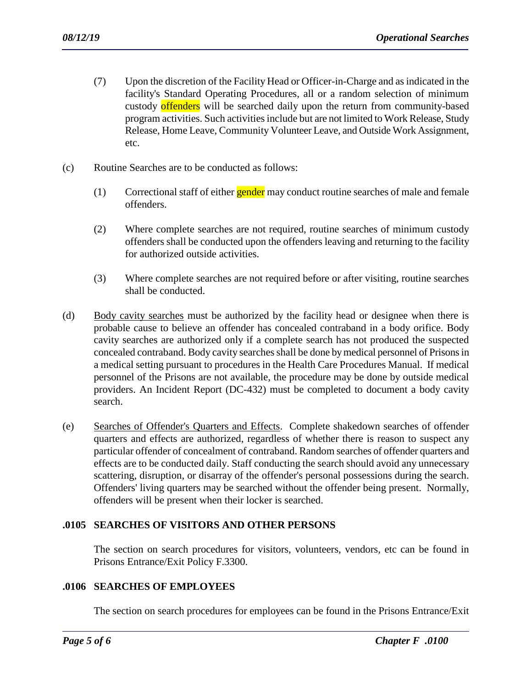- (7) Upon the discretion of the Facility Head or Officer-in-Charge and as indicated in the facility's Standard Operating Procedures, all or a random selection of minimum custody offenders will be searched daily upon the return from community-based program activities. Such activities include but are not limited to Work Release, Study Release, Home Leave, Community Volunteer Leave, and Outside Work Assignment, etc.
- (c) Routine Searches are to be conducted as follows:
	- $(1)$  Correctional staff of either **gender** may conduct routine searches of male and female offenders.
	- (2) Where complete searches are not required, routine searches of minimum custody offenders shall be conducted upon the offenders leaving and returning to the facility for authorized outside activities.
	- (3) Where complete searches are not required before or after visiting, routine searches shall be conducted.
- (d) Body cavity searches must be authorized by the facility head or designee when there is probable cause to believe an offender has concealed contraband in a body orifice. Body cavity searches are authorized only if a complete search has not produced the suspected concealed contraband. Body cavity searches shall be done by medical personnel of Prisonsin a medical setting pursuant to procedures in the Health Care Procedures Manual. If medical personnel of the Prisons are not available, the procedure may be done by outside medical providers. An Incident Report (DC-432) must be completed to document a body cavity search.
- (e) Searches of Offender's Quarters and Effects. Complete shakedown searches of offender quarters and effects are authorized, regardless of whether there is reason to suspect any particular offender of concealment of contraband. Random searches of offender quarters and effects are to be conducted daily. Staff conducting the search should avoid any unnecessary scattering, disruption, or disarray of the offender's personal possessions during the search. Offenders' living quarters may be searched without the offender being present. Normally, offenders will be present when their locker is searched.

### **.0105 SEARCHES OF VISITORS AND OTHER PERSONS**

The section on search procedures for visitors, volunteers, vendors, etc can be found in Prisons Entrance/Exit Policy F.3300.

#### **.0106 SEARCHES OF EMPLOYEES**

The section on search procedures for employees can be found in the Prisons Entrance/Exit